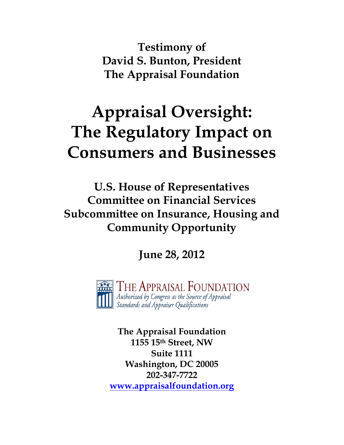**Testimony of David S. Bunton, President The Appraisal Foundation**

# **Appraisal Oversight: The Regulatory Impact on Consumers and Businesses**

**U.S. House of Representatives Committee on Financial Services Subcommittee on Insurance, Housing and Community Opportunity**

**June 28, 2012**

The Appraisal Foundation Authorized by Congress as the Source of Appraisal  $\mathbf{u}$  Authorized by Congress as the Source of .<br>Standards and Appraiser Qualifications

**The Appraisal Foundation 1155 15th Street, NW Suite 1111 Washington, DC 20005 202-347-7722 [www.appraisalfoundation.org](http://www.appraisalfoundation.org/)**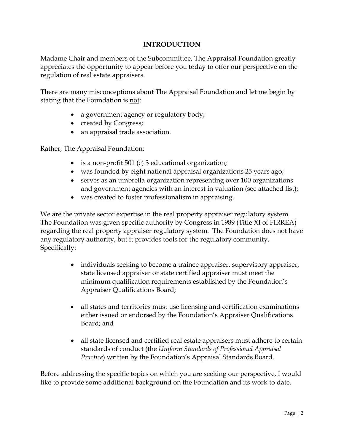#### **INTRODUCTION**

Madame Chair and members of the Subcommittee, The Appraisal Foundation greatly appreciates the opportunity to appear before you today to offer our perspective on the regulation of real estate appraisers.

There are many misconceptions about The Appraisal Foundation and let me begin by stating that the Foundation is not:

- a government agency or regulatory body;
- created by Congress;
- an appraisal trade association.

Rather, The Appraisal Foundation:

- is a non-profit 501 (c) 3 educational organization;
- was founded by eight national appraisal organizations 25 years ago;
- serves as an umbrella organization representing over 100 organizations and government agencies with an interest in valuation (see attached list);
- was created to foster professionalism in appraising.

We are the private sector expertise in the real property appraiser regulatory system. The Foundation was given specific authority by Congress in 1989 (Title XI of FIRREA) regarding the real property appraiser regulatory system. The Foundation does not have any regulatory authority, but it provides tools for the regulatory community. Specifically:

- individuals seeking to become a trainee appraiser, supervisory appraiser, state licensed appraiser or state certified appraiser must meet the minimum qualification requirements established by the Foundation's Appraiser Qualifications Board;
- all states and territories must use licensing and certification examinations either issued or endorsed by the Foundation's Appraiser Qualifications Board; and
- all state licensed and certified real estate appraisers must adhere to certain standards of conduct (the *Uniform Standards of Professional Appraisal Practice*) written by the Foundation's Appraisal Standards Board.

Before addressing the specific topics on which you are seeking our perspective, I would like to provide some additional background on the Foundation and its work to date.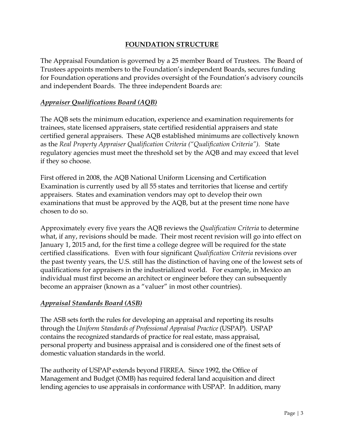#### **FOUNDATION STRUCTURE**

The Appraisal Foundation is governed by a 25 member Board of Trustees. The Board of Trustees appoints members to the Foundation's independent Boards, secures funding for Foundation operations and provides oversight of the Foundation's advisory councils and independent Boards. The three independent Boards are:

#### *Appraiser Qualifications Board (AQB)*

The AQB sets the minimum education, experience and examination requirements for trainees, state licensed appraisers, state certified residential appraisers and state certified general appraisers. These AQB established minimums are collectively known as the *Real Property Appraiser Qualification Criteria ("Qualification Criteria").* State regulatory agencies must meet the threshold set by the AQB and may exceed that level if they so choose.

First offered in 2008, the AQB National Uniform Licensing and Certification Examination is currently used by all 55 states and territories that license and certify appraisers. States and examination vendors may opt to develop their own examinations that must be approved by the AQB, but at the present time none have chosen to do so.

Approximately every five years the AQB reviews the *Qualification Criteria* to determine what, if any, revisions should be made. Their most recent revision will go into effect on January 1, 2015 and, for the first time a college degree will be required for the state certified classifications. Even with four significant *Qualification Criteria* revisions over the past twenty years, the U.S. still has the distinction of having one of the lowest sets of qualifications for appraisers in the industrialized world. For example, in Mexico an individual must first become an architect or engineer before they can subsequently become an appraiser (known as a "valuer" in most other countries).

## *Appraisal Standards Board (ASB)*

The ASB sets forth the rules for developing an appraisal and reporting its results through the *Uniform Standards of Professional Appraisal Practice* (USPAP). USPAP contains the recognized standards of practice for real estate, mass appraisal, personal property and business appraisal and is considered one of the finest sets of domestic valuation standards in the world.

The authority of USPAP extends beyond FIRREA. Since 1992, the Office of Management and Budget (OMB) has required federal land acquisition and direct lending agencies to use appraisals in conformance with USPAP. In addition, many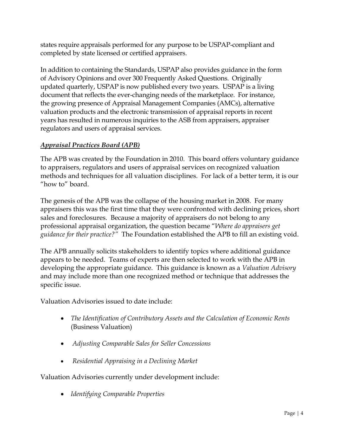states require appraisals performed for any purpose to be USPAP-compliant and completed by state licensed or certified appraisers.

In addition to containing the Standards, USPAP also provides guidance in the form of Advisory Opinions and over 300 Frequently Asked Questions. Originally updated quarterly, USPAP is now published every two years. USPAP is a living document that reflects the ever-changing needs of the marketplace. For instance, the growing presence of Appraisal Management Companies (AMCs), alternative valuation products and the electronic transmission of appraisal reports in recent years has resulted in numerous inquiries to the ASB from appraisers, appraiser regulators and users of appraisal services.

# *Appraisal Practices Board (APB)*

The APB was created by the Foundation in 2010. This board offers voluntary guidance to appraisers, regulators and users of appraisal services on recognized valuation methods and techniques for all valuation disciplines. For lack of a better term, it is our "how to" board.

The genesis of the APB was the collapse of the housing market in 2008. For many appraisers this was the first time that they were confronted with declining prices, short sales and foreclosures. Because a majority of appraisers do not belong to any professional appraisal organization, the question became "*Where do appraisers get guidance for their practice?"* The Foundation established the APB to fill an existing void.

The APB annually solicits stakeholders to identify topics where additional guidance appears to be needed. Teams of experts are then selected to work with the APB in developing the appropriate guidance. This guidance is known as a *Valuation Advisory* and may include more than one recognized method or technique that addresses the specific issue.

Valuation Advisories issued to date include:

- *[The Identification of Contributory Assets and the Calculation of Economic Rents](https://appraisalfoundation.sharefile.com/d/s59734fc471149779)* (Business Valuation)
- *[Adjusting Comparable Sales for Seller Concessions](https://appraisalfoundation.sharefile.com/d/s54c9756b83f43f5a)*
- *[Residential Appraising in a Declining Market](https://appraisalfoundation.sharefile.com/d/s312c40fc01b4987b)*

Valuation Advisories currently under development include:

• *Identifying Comparable Properties*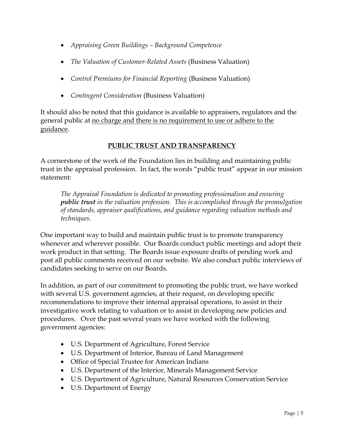- *Appraising Green Buildings – Background Competence*
- *The Valuation of Customer-Related Assets* (Business Valuation)
- *Control Premiums for Financial Reporting* (Business Valuation)
- *Contingent Consideration* (Business Valuation)

It should also be noted that this guidance is available to appraisers, regulators and the general public at no charge and there is no requirement to use or adhere to the guidance.

## **PUBLIC TRUST AND TRANSPARENCY**

A cornerstone of the work of the Foundation lies in building and maintaining public trust in the appraisal profession. In fact, the words "public trust" appear in our mission statement:

*The Appraisal Foundation is dedicated to promoting professionalism and ensuring public trust in the valuation profession. This is accomplished through the promulgation of standards, appraiser qualifications, and guidance regarding valuation methods and techniques.*

One important way to build and maintain public trust is to promote transparency whenever and wherever possible. Our Boards conduct public meetings and adopt their work product in that setting. The Boards issue exposure drafts of pending work and post all public comments received on our website. We also conduct public interviews of candidates seeking to serve on our Boards.

In addition, as part of our commitment to promoting the public trust, we have worked with several U.S. government agencies, at their request, on developing specific recommendations to improve their internal appraisal operations, to assist in their investigative work relating to valuation or to assist in developing new policies and procedures. Over the past several years we have worked with the following government agencies:

- U.S. Department of Agriculture, Forest Service
- U.S. Department of Interior, Bureau of Land Management
- Office of Special Trustee for American Indians
- U.S. Department of the Interior, Minerals Management Service
- U.S. Department of Agriculture, Natural Resources Conservation Service
- U.S. Department of Energy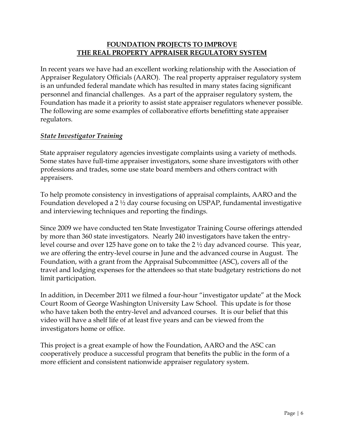#### **FOUNDATION PROJECTS TO IMPROVE THE REAL PROPERTY APPRAISER REGULATORY SYSTEM**

In recent years we have had an excellent working relationship with the Association of Appraiser Regulatory Officials (AARO). The real property appraiser regulatory system is an unfunded federal mandate which has resulted in many states facing significant personnel and financial challenges. As a part of the appraiser regulatory system, the Foundation has made it a priority to assist state appraiser regulators whenever possible. The following are some examples of collaborative efforts benefitting state appraiser regulators.

#### *State Investigator Training*

State appraiser regulatory agencies investigate complaints using a variety of methods. Some states have full-time appraiser investigators, some share investigators with other professions and trades, some use state board members and others contract with appraisers.

To help promote consistency in investigations of appraisal complaints, AARO and the Foundation developed a 2 ½ day course focusing on USPAP, fundamental investigative and interviewing techniques and reporting the findings.

Since 2009 we have conducted ten State Investigator Training Course offerings attended by more than 360 state investigators. Nearly 240 investigators have taken the entrylevel course and over 125 have gone on to take the 2 ½ day advanced course. This year, we are offering the entry-level course in June and the advanced course in August. The Foundation, with a grant from the Appraisal Subcommittee (ASC), covers all of the travel and lodging expenses for the attendees so that state budgetary restrictions do not limit participation.

In addition, in December 2011 we filmed a four-hour "investigator update" at the Mock Court Room of George Washington University Law School. This update is for those who have taken both the entry-level and advanced courses. It is our belief that this video will have a shelf life of at least five years and can be viewed from the investigators home or office.

This project is a great example of how the Foundation, AARO and the ASC can cooperatively produce a successful program that benefits the public in the form of a more efficient and consistent nationwide appraiser regulatory system.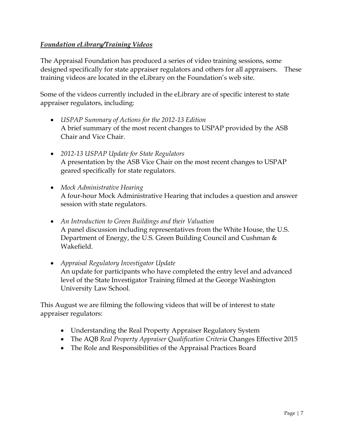## *Foundation eLibrary/Training Videos*

The Appraisal Foundation has produced a series of video training sessions, some designed specifically for state appraiser regulators and others for all appraisers. These training videos are located in the eLibrary on the Foundation's web site.

Some of the videos currently included in the eLibrary are of specific interest to state appraiser regulators, including:

- *USPAP Summary of Actions for the 2012-13 Edition* A brief summary of the most recent changes to USPAP provided by the ASB Chair and Vice Chair.
- *2012-13 USPAP Update for State Regulators* A presentation by the ASB Vice Chair on the most recent changes to USPAP geared specifically for state regulators.
- *Mock Administrative Hearing* A four-hour Mock Administrative Hearing that includes a question and answer session with state regulators.
- *An Introduction to Green Buildings and their Valuation*  A panel discussion including representatives from the White House, the U.S. Department of Energy, the U.S. Green Building Council and Cushman & Wakefield.
- *Appraisal Regulatory Investigator Update* An update for participants who have completed the entry level and advanced level of the State Investigator Training filmed at the George Washington University Law School.

This August we are filming the following videos that will be of interest to state appraiser regulators:

- Understanding the Real Property Appraiser Regulatory System
- The AQB *Real Property Appraiser Qualification Criteria* Changes Effective 2015
- The Role and Responsibilities of the Appraisal Practices Board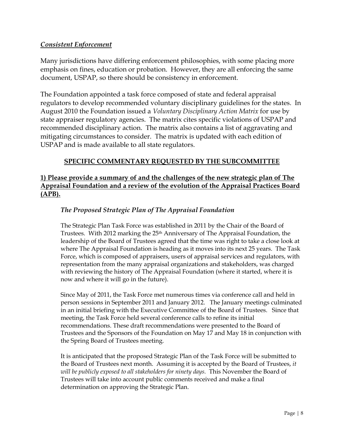#### *Consistent Enforcement*

Many jurisdictions have differing enforcement philosophies, with some placing more emphasis on fines, education or probation. However, they are all enforcing the same document, USPAP, so there should be consistency in enforcement.

The Foundation appointed a task force composed of state and federal appraisal regulators to develop recommended voluntary disciplinary guidelines for the states. In August 2010 the Foundation issued a *Voluntary Disciplinary Action Matrix* for use by state appraiser regulatory agencies. The matrix cites specific violations of USPAP and recommended disciplinary action. The matrix also contains a list of aggravating and mitigating circumstances to consider. The matrix is updated with each edition of USPAP and is made available to all state regulators.

#### **SPECIFIC COMMENTARY REQUESTED BY THE SUBCOMMITTEE**

## **1) Please provide a summary of and the challenges of the new strategic plan of The Appraisal Foundation and a review of the evolution of the Appraisal Practices Board (APB).**

#### *The Proposed Strategic Plan of The Appraisal Foundation*

The Strategic Plan Task Force was established in 2011 by the Chair of the Board of Trustees. With 2012 marking the 25<sup>th</sup> Anniversary of The Appraisal Foundation, the leadership of the Board of Trustees agreed that the time was right to take a close look at where The Appraisal Foundation is heading as it moves into its next 25 years. The Task Force, which is composed of appraisers, users of appraisal services and regulators, with representation from the many appraisal organizations and stakeholders, was charged with reviewing the history of The Appraisal Foundation (where it started, where it is now and where it will go in the future).

Since May of 2011, the Task Force met numerous times via conference call and held in person sessions in September 2011 and January 2012. The January meetings culminated in an initial briefing with the Executive Committee of the Board of Trustees. Since that meeting, the Task Force held several conference calls to refine its initial recommendations. These draft recommendations were presented to the Board of Trustees and the Sponsors of the Foundation on May 17 and May 18 in conjunction with the Spring Board of Trustees meeting.

It is anticipated that the proposed Strategic Plan of the Task Force will be submitted to the Board of Trustees next month. Assuming it is accepted by the Board of Trustees, *it will be publicly exposed to all stakeholders for ninety days.* This November the Board of Trustees will take into account public comments received and make a final determination on approving the Strategic Plan.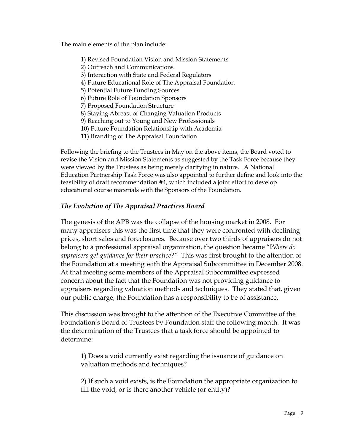The main elements of the plan include:

- 1) Revised Foundation Vision and Mission Statements
- 2) Outreach and Communications
- 3) Interaction with State and Federal Regulators
- 4) Future Educational Role of The Appraisal Foundation
- 5) Potential Future Funding Sources
- 6) Future Role of Foundation Sponsors
- 7) Proposed Foundation Structure
- 8) Staying Abreast of Changing Valuation Products
- 9) Reaching out to Young and New Professionals
- 10) Future Foundation Relationship with Academia
- 11) Branding of The Appraisal Foundation

Following the briefing to the Trustees in May on the above items, the Board voted to revise the Vision and Mission Statements as suggested by the Task Force because they were viewed by the Trustees as being merely clarifying in nature. A National Education Partnership Task Force was also appointed to further define and look into the feasibility of draft recommendation #4, which included a joint effort to develop educational course materials with the Sponsors of the Foundation.

#### *The Evolution of The Appraisal Practices Board*

The genesis of the APB was the collapse of the housing market in 2008. For many appraisers this was the first time that they were confronted with declining prices, short sales and foreclosures. Because over two thirds of appraisers do not belong to a professional appraisal organization, the question became "*Where do appraisers get guidance for their practice?"* This was first brought to the attention of the Foundation at a meeting with the Appraisal Subcommittee in December 2008. At that meeting some members of the Appraisal Subcommittee expressed concern about the fact that the Foundation was not providing guidance to appraisers regarding valuation methods and techniques. They stated that, given our public charge, the Foundation has a responsibility to be of assistance.

This discussion was brought to the attention of the Executive Committee of the Foundation's Board of Trustees by Foundation staff the following month. It was the determination of the Trustees that a task force should be appointed to determine:

1) Does a void currently exist regarding the issuance of guidance on valuation methods and techniques?

2) If such a void exists, is the Foundation the appropriate organization to fill the void, or is there another vehicle (or entity)?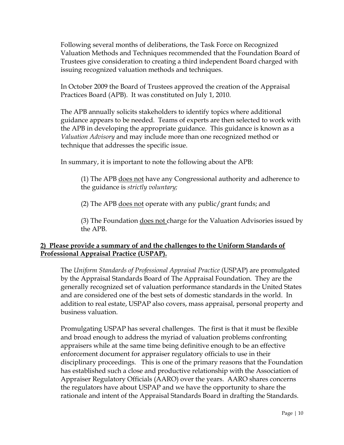Following several months of deliberations, the Task Force on Recognized Valuation Methods and Techniques recommended that the Foundation Board of Trustees give consideration to creating a third independent Board charged with issuing recognized valuation methods and techniques.

In October 2009 the Board of Trustees approved the creation of the Appraisal Practices Board (APB). It was constituted on July 1, 2010.

The APB annually solicits stakeholders to identify topics where additional guidance appears to be needed. Teams of experts are then selected to work with the APB in developing the appropriate guidance. This guidance is known as a *Valuation Advisory* and may include more than one recognized method or technique that addresses the specific issue.

In summary, it is important to note the following about the APB:

(1) The APB does not have any Congressional authority and adherence to the guidance is *strictly voluntary;* 

(2) The APB does not operate with any public/grant funds; and

(3) The Foundation does not charge for the Valuation Advisories issued by the APB.

## **2) Please provide a summary of and the challenges to the Uniform Standards of Professional Appraisal Practice (USPAP).**

The *Uniform Standards of Professional Appraisal Practice* (USPAP) are promulgated by the Appraisal Standards Board of The Appraisal Foundation. They are the generally recognized set of valuation performance standards in the United States and are considered one of the best sets of domestic standards in the world. In addition to real estate, USPAP also covers, mass appraisal, personal property and business valuation.

Promulgating USPAP has several challenges. The first is that it must be flexible and broad enough to address the myriad of valuation problems confronting appraisers while at the same time being definitive enough to be an effective enforcement document for appraiser regulatory officials to use in their disciplinary proceedings. This is one of the primary reasons that the Foundation has established such a close and productive relationship with the Association of Appraiser Regulatory Officials (AARO) over the years. AARO shares concerns the regulators have about USPAP and we have the opportunity to share the rationale and intent of the Appraisal Standards Board in drafting the Standards.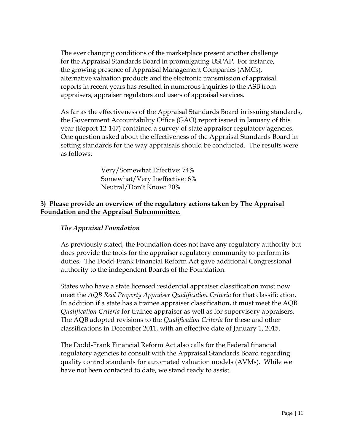The ever changing conditions of the marketplace present another challenge for the Appraisal Standards Board in promulgating USPAP. For instance, the growing presence of Appraisal Management Companies (AMCs), alternative valuation products and the electronic transmission of appraisal reports in recent years has resulted in numerous inquiries to the ASB from appraisers, appraiser regulators and users of appraisal services.

As far as the effectiveness of the Appraisal Standards Board in issuing standards, the Government Accountability Office (GAO) report issued in January of this year (Report 12-147) contained a survey of state appraiser regulatory agencies. One question asked about the effectiveness of the Appraisal Standards Board in setting standards for the way appraisals should be conducted. The results were as follows:

> Very/Somewhat Effective: 74% Somewhat/Very Ineffective: 6% Neutral/Don't Know: 20%

#### **3) Please provide an overview of the regulatory actions taken by The Appraisal Foundation and the Appraisal Subcommittee.**

#### *The Appraisal Foundation*

As previously stated, the Foundation does not have any regulatory authority but does provide the tools for the appraiser regulatory community to perform its duties. The Dodd-Frank Financial Reform Act gave additional Congressional authority to the independent Boards of the Foundation.

States who have a state licensed residential appraiser classification must now meet the *AQB Real Property Appraiser Qualification Criteria* for that classification. In addition if a state has a trainee appraiser classification, it must meet the AQB *Qualification Criteria* for trainee appraiser as well as for supervisory appraisers. The AQB adopted revisions to the *Qualification Criteria* for these and other classifications in December 2011, with an effective date of January 1, 2015.

The Dodd-Frank Financial Reform Act also calls for the Federal financial regulatory agencies to consult with the Appraisal Standards Board regarding quality control standards for automated valuation models (AVMs). While we have not been contacted to date, we stand ready to assist.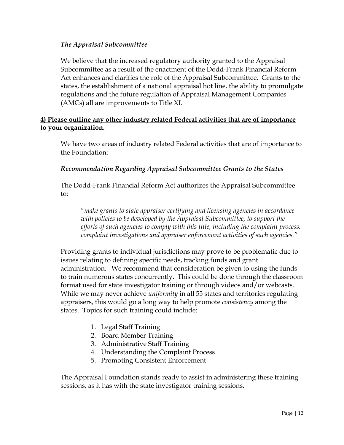#### *The Appraisal Subcommittee*

We believe that the increased regulatory authority granted to the Appraisal Subcommittee as a result of the enactment of the Dodd-Frank Financial Reform Act enhances and clarifies the role of the Appraisal Subcommittee. Grants to the states, the establishment of a national appraisal hot line, the ability to promulgate regulations and the future regulation of Appraisal Management Companies (AMCs) all are improvements to Title XI.

## **4) Please outline any other industry related Federal activities that are of importance to your organization.**

We have two areas of industry related Federal activities that are of importance to the Foundation:

#### *Recommendation Regarding Appraisal Subcommittee Grants to the States*

The Dodd-Frank Financial Reform Act authorizes the Appraisal Subcommittee to:

"*make grants to state appraiser certifying and licensing agencies in accordance with policies to be developed by the Appraisal Subcommittee, to support the efforts of such agencies to comply with this title, including the complaint process, complaint investigations and appraiser enforcement activities of such agencies."* 

Providing grants to individual jurisdictions may prove to be problematic due to issues relating to defining specific needs, tracking funds and grant administration. We recommend that consideration be given to using the funds to train numerous states concurrently. This could be done through the classroom format used for state investigator training or through videos and/or webcasts. While we may never achieve *uniformity* in all 55 states and territories regulating appraisers, this would go a long way to help promote *consistency* among the states. Topics for such training could include:

- 1. Legal Staff Training
- 2. Board Member Training
- 3. Administrative Staff Training
- 4. Understanding the Complaint Process
- 5. Promoting Consistent Enforcement

The Appraisal Foundation stands ready to assist in administering these training sessions, as it has with the state investigator training sessions.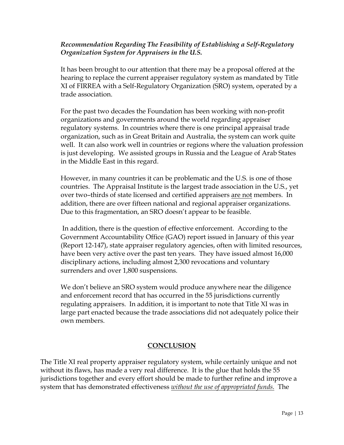## *Recommendation Regarding The Feasibility of Establishing a Self-Regulatory Organization System for Appraisers in the U.S.*

It has been brought to our attention that there may be a proposal offered at the hearing to replace the current appraiser regulatory system as mandated by Title XI of FIRREA with a Self-Regulatory Organization (SRO) system, operated by a trade association.

For the past two decades the Foundation has been working with non-profit organizations and governments around the world regarding appraiser regulatory systems. In countries where there is one principal appraisal trade organization, such as in Great Britain and Australia, the system can work quite well. It can also work well in countries or regions where the valuation profession is just developing. We assisted groups in Russia and the League of Arab States in the Middle East in this regard.

However, in many countries it can be problematic and the U.S. is one of those countries. The Appraisal Institute is the largest trade association in the U.S., yet over two–thirds of state licensed and certified appraisers are not members. In addition, there are over fifteen national and regional appraiser organizations. Due to this fragmentation, an SRO doesn't appear to be feasible.

In addition, there is the question of effective enforcement. According to the Government Accountability Office (GAO) report issued in January of this year (Report 12-147), state appraiser regulatory agencies, often with limited resources, have been very active over the past ten years. They have issued almost 16,000 disciplinary actions, including almost 2,300 revocations and voluntary surrenders and over 1,800 suspensions.

We don't believe an SRO system would produce anywhere near the diligence and enforcement record that has occurred in the 55 jurisdictions currently regulating appraisers. In addition, it is important to note that Title XI was in large part enacted because the trade associations did not adequately police their own members.

# **CONCLUSION**

The Title XI real property appraiser regulatory system, while certainly unique and not without its flaws, has made a very real difference. It is the glue that holds the 55 jurisdictions together and every effort should be made to further refine and improve a system that has demonstrated effectiveness *without the use of appropriated funds.* The